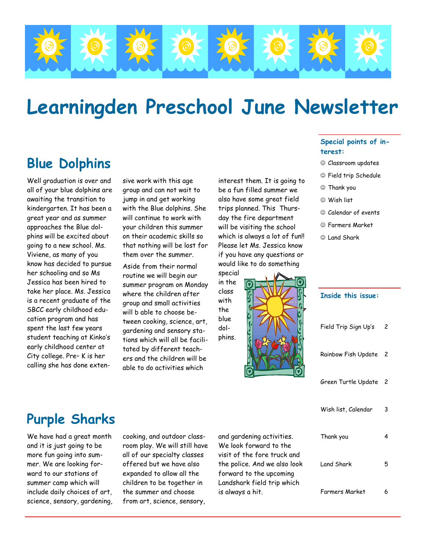

# **Learningden Preschool June Newsletter**

# **Blue Dolphins**

Well graduation is over and all of your blue dolphins are awaiting the transition to kindergarten. It has been a great year and as summer approaches the Blue dolphins will be excited about going to a new school. Ms. Viviene, as many of you know has decided to pursue her schooling and so Ms Jessica has been hired to take her place. Ms. Jessica is a recent graduate of the SBCC early childhood education program and has spent the last few years student teaching at Kinko's early childhood center at City college. Pre– K is her calling she has done extensive work with this age group and can not wait to jump in and get working with the Blue dolphins. She will continue to work with your children this summer on their academic skills so that nothing will be lost for them over the summer.

Aside from their normal routine we will begin our summer program on Monday where the children after group and small activities will b able to choose between cooking, science, art, gardening and sensory stations which will all be facilitated by different teachers and the children will be able to do activities which

interest them. It is going to be a fun filled summer we also have some great field trips planned. This Thursday the fire department will be visiting the school which is always a lot of fun!! Please let Ms. Jessica know if you have any questions or would like to do something



the

dol-

#### **Special points of interest:**

- ☺ Classroom updates
- ☺ Field trip Schedule
- ☺ Thank you
- ☺ Wish list
- ☺ Calendar of events
- ☺ Farmers Market
- ☺ Land Shark

| <b>Inside this issue:</b> |                |
|---------------------------|----------------|
| Field Trip Sign Up's      | $\overline{c}$ |
| Rainbow Fish Update 2     |                |
| Green Turtle Update 2     |                |
| Wish list, Calendar       | 3              |
| Thank you                 | 4              |
| Land Shark                | 5              |
| Farmers Market            | 6              |

# **Purple Sharks**

We have had a great month and it is just going to be more fun going into summer. We are looking forward to our stations of summer camp which will include daily choices of art, science, sensory, gardening, cooking, and outdoor classroom play. We will still have all of our specialty classes offered but we have also expanded to allow all the children to be together in the summer and choose from art, science, sensory,

and gardening activities. We look forward to the visit of the fore truck and the police. And we also look forward to the upcoming Landshark field trip which is always a hit.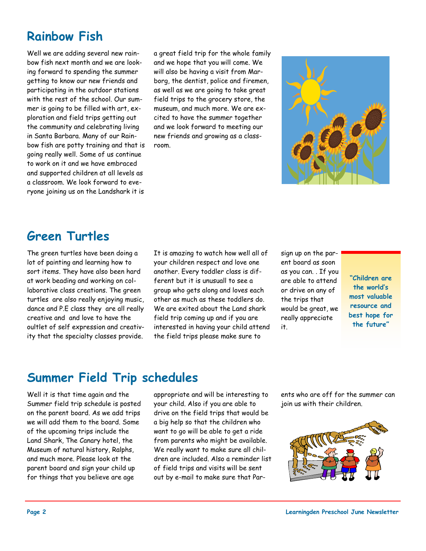# **Rainbow Fish**

Well we are adding several new rainbow fish next month and we are looking forward to spending the summer getting to know our new friends and participating in the outdoor stations with the rest of the school. Our summer is going to be filled with art, exploration and field trips getting out the community and celebrating living in Santa Barbara. Many of our Rainbow fish are potty training and that is going really well. Some of us continue to work on it and we have embraced and supported children at all levels as a classroom. We look forward to everyone joining us on the Landshark it is

a great field trip for the whole family and we hope that you will come. We will also be having a visit from Marborg, the dentist, police and firemen, as well as we are going to take great field trips to the grocery store, the museum, and much more. We are excited to have the summer together and we look forward to meeting our new friends and growing as a classroom.



### **Green Turtles**

The green turtles have been doing a lot of painting and learning how to sort items. They have also been hard at work beading and working on collaborative class creations. The green turtles are also really enjoying music, dance and P.E class they are all really creative and and love to have the oultlet of self expression and creativity that the specialty classes provide.

It is amazing to watch how well all of your children respect and love one another. Every toddler class is different but it is unusuall to see a group who gets along and loves each other as much as these toddlers do. We are exited about the Land shark field trip coming up and if you are interested in having your child attend the field trips please make sure to

sign up on the parent board as soon as you can. . If you are able to attend or drive on any of the trips that would be great, we really appreciate it.

**"Children are the world's most valuable resource and best hope for the future"** 

### **Summer Field Trip schedules**

Well it is that time again and the Summer field trip schedule is posted on the parent board. As we add trips we will add them to the board. Some of the upcoming trips include the Land Shark, The Canary hotel, the Museum of natural history, Ralphs, and much more. Please look at the parent board and sign your child up for things that you believe are age

appropriate and will be interesting to your child. Also if you are able to drive on the field trips that would be a big help so that the children who want to go will be able to get a ride from parents who might be available. We really want to make sure all children are included. Also a reminder list of field trips and visits will be sent out by e-mail to make sure that Parents who are off for the summer can join us with their children.

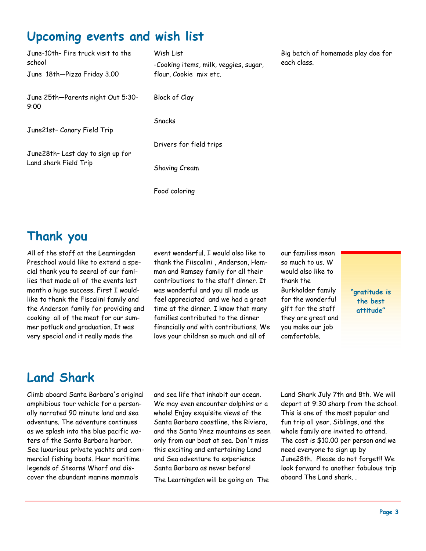## **Upcoming events and wish list**

| June-10th- Fire truck visit to the<br>school               | Wish List<br>-Cooking items, milk, veggies, sugar, |
|------------------------------------------------------------|----------------------------------------------------|
| June 18th-Pizza Friday 3.00                                | flour, Cookie mix etc.                             |
| June 25th-Parents night Out 5:30-<br>9:00                  | Block of Clay                                      |
|                                                            | Snacks                                             |
| June21st- Canary Field Trip                                |                                                    |
|                                                            | Drivers for field trips                            |
| June28th- Last day to sign up for<br>Land shark Field Trip | Shaving Cream                                      |
|                                                            | Food coloring                                      |

Big batch of homemade play doe for each class.

#### **Thank you**

All of the staff at the Learningden Preschool would like to extend a special thank you to seeral of our families that made all of the events last month a huge success. First I wouldlike to thank the Fiscalini family and the Anderson family for providing and cooking all of the meat for our summer potluck and graduation. It was very special and it really made the

event wonderful. I would also like to thank the Fiiscalini , Anderson, Hemman and Ramsey family for all their contributions to the staff dinner. It was wonderful and you all made us feel appreciated and we had a great time at the dinner. I know that many families contributed to the dinner financially and with contributions. We love your children so much and all of

our families mean so much to us. W would also like to thank the Burkholder family for the wonderful gift for the staff they are great and you make our job comfortable.

**"gratitude is the best attitude"** 

### **Land Shark**

Climb aboard Santa Barbara's original amphibious tour vehicle for a personally narrated 90 minute land and sea adventure. The adventure continues as we splash into the blue pacific waters of the Santa Barbara harbor. See luxurious private yachts and commercial fishing boats. Hear maritime legends of Stearns Wharf and discover the abundant marine mammals

and sea life that inhabit our ocean. We may even encounter dolphins or a whale! Enjoy exquisite views of the Santa Barbara coastline, the Riviera, and the Santa Ynez mountains as seen only from our boat at sea. Don't miss this exciting and entertaining Land and Sea adventure to experience Santa Barbara as never before! The Learningden will be going on The

Land Shark July 7th and 8th. We will depart at 9:30 sharp from the school. This is one of the most popular and fun trip all year. Siblings, and the whole family are invited to attend. The cost is \$10.00 per person and we need everyone to sign up by June28th. Please do not forget!! We look forward to another fabulous trip aboard The Land shark. .